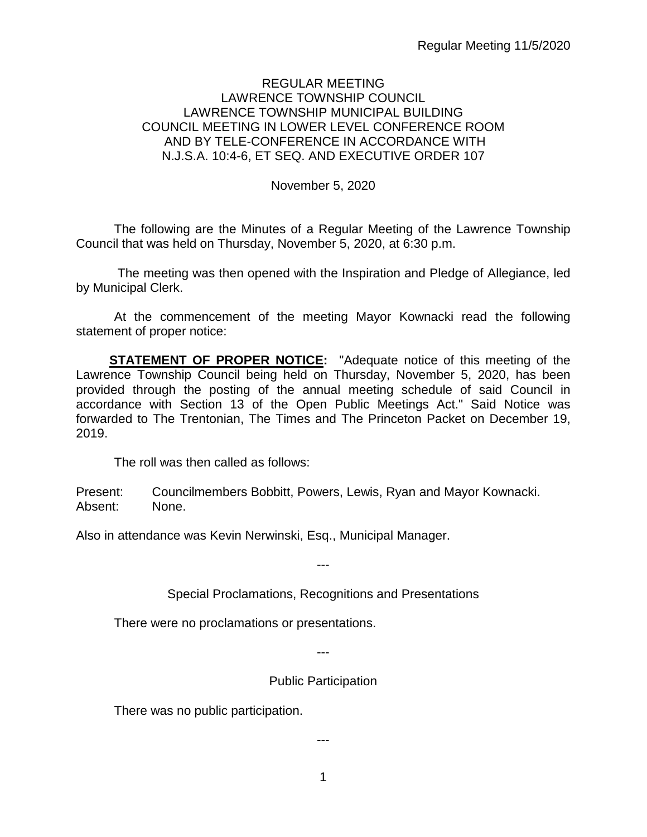### REGULAR MEETING LAWRENCE TOWNSHIP COUNCIL LAWRENCE TOWNSHIP MUNICIPAL BUILDING COUNCIL MEETING IN LOWER LEVEL CONFERENCE ROOM AND BY TELE-CONFERENCE IN ACCORDANCE WITH N.J.S.A. 10:4-6, ET SEQ. AND EXECUTIVE ORDER 107

November 5, 2020

The following are the Minutes of a Regular Meeting of the Lawrence Township Council that was held on Thursday, November 5, 2020, at 6:30 p.m.

The meeting was then opened with the Inspiration and Pledge of Allegiance, led by Municipal Clerk.

At the commencement of the meeting Mayor Kownacki read the following statement of proper notice:

**STATEMENT OF PROPER NOTICE:** "Adequate notice of this meeting of the Lawrence Township Council being held on Thursday, November 5, 2020, has been provided through the posting of the annual meeting schedule of said Council in accordance with Section 13 of the Open Public Meetings Act." Said Notice was forwarded to The Trentonian, The Times and The Princeton Packet on December 19, 2019.

The roll was then called as follows:

Present: Councilmembers Bobbitt, Powers, Lewis, Ryan and Mayor Kownacki. Absent: None.

Also in attendance was Kevin Nerwinski, Esq., Municipal Manager.

---

Special Proclamations, Recognitions and Presentations

There were no proclamations or presentations.

---

Public Participation

There was no public participation.

---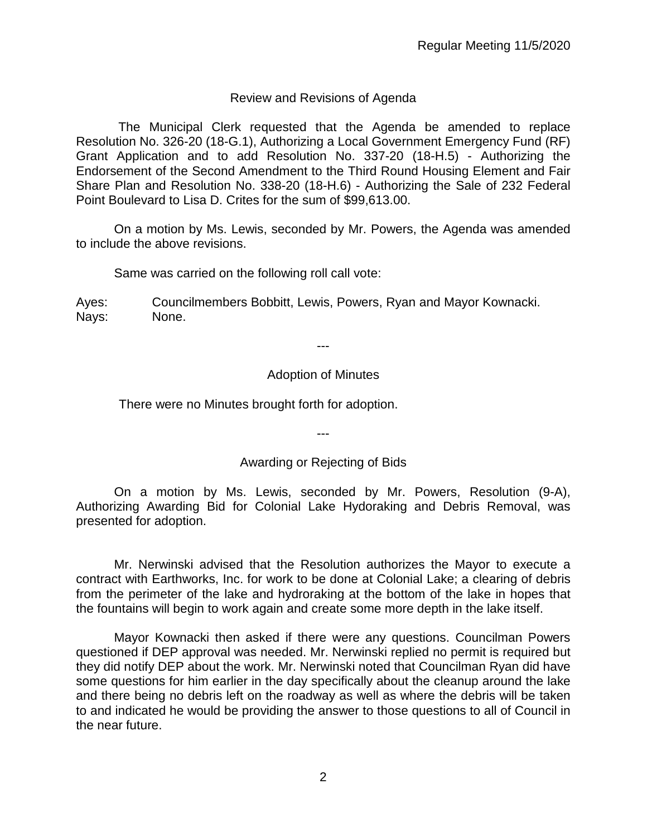## Review and Revisions of Agenda

 The Municipal Clerk requested that the Agenda be amended to replace Resolution No. 326-20 (18-G.1), Authorizing a Local Government Emergency Fund (RF) Grant Application and to add Resolution No. 337-20 (18-H.5) - Authorizing the Endorsement of the Second Amendment to the Third Round Housing Element and Fair Share Plan and Resolution No. 338-20 (18-H.6) - Authorizing the Sale of 232 Federal Point Boulevard to Lisa D. Crites for the sum of \$99,613.00.

On a motion by Ms. Lewis, seconded by Mr. Powers, the Agenda was amended to include the above revisions.

Same was carried on the following roll call vote:

Ayes: Councilmembers Bobbitt, Lewis, Powers, Ryan and Mayor Kownacki. Nays: None.

---

## Adoption of Minutes

There were no Minutes brought forth for adoption.

---

### Awarding or Rejecting of Bids

On a motion by Ms. Lewis, seconded by Mr. Powers, Resolution (9-A), Authorizing Awarding Bid for Colonial Lake Hydoraking and Debris Removal, was presented for adoption.

Mr. Nerwinski advised that the Resolution authorizes the Mayor to execute a contract with Earthworks, Inc. for work to be done at Colonial Lake; a clearing of debris from the perimeter of the lake and hydroraking at the bottom of the lake in hopes that the fountains will begin to work again and create some more depth in the lake itself.

Mayor Kownacki then asked if there were any questions. Councilman Powers questioned if DEP approval was needed. Mr. Nerwinski replied no permit is required but they did notify DEP about the work. Mr. Nerwinski noted that Councilman Ryan did have some questions for him earlier in the day specifically about the cleanup around the lake and there being no debris left on the roadway as well as where the debris will be taken to and indicated he would be providing the answer to those questions to all of Council in the near future.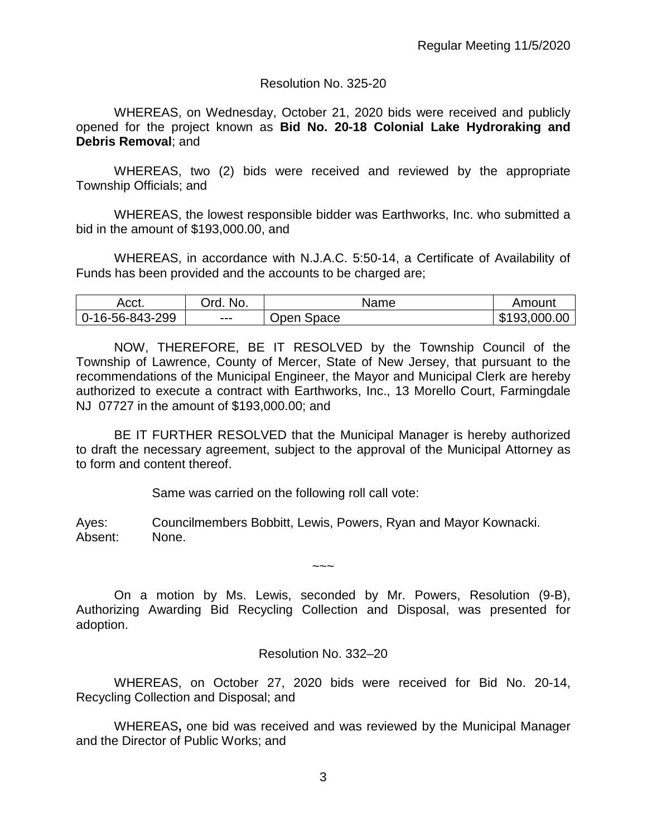### Resolution No. 325-20

WHEREAS, on Wednesday, October 21, 2020 bids were received and publicly opened for the project known as **Bid No. 20-18 Colonial Lake Hydroraking and Debris Removal**; and

WHEREAS, two (2) bids were received and reviewed by the appropriate Township Officials; and

WHEREAS, the lowest responsible bidder was Earthworks, Inc. who submitted a bid in the amount of \$193,000.00, and

WHEREAS, in accordance with N.J.A.C. 5:50-14, a Certificate of Availability of Funds has been provided and the accounts to be charged are;

| Acct.                        | No.<br>)rd | Name          | Amount |
|------------------------------|------------|---------------|--------|
| $-299$<br>16-56-843-2<br>- 1 | $--$       | space<br>Open | 000.00 |

NOW, THEREFORE, BE IT RESOLVED by the Township Council of the Township of Lawrence, County of Mercer, State of New Jersey, that pursuant to the recommendations of the Municipal Engineer, the Mayor and Municipal Clerk are hereby authorized to execute a contract with Earthworks, Inc., 13 Morello Court, Farmingdale NJ 07727 in the amount of \$193,000.00; and

BE IT FURTHER RESOLVED that the Municipal Manager is hereby authorized to draft the necessary agreement, subject to the approval of the Municipal Attorney as to form and content thereof.

Same was carried on the following roll call vote:

Ayes: Councilmembers Bobbitt, Lewis, Powers, Ryan and Mayor Kownacki. Absent: None.

On a motion by Ms. Lewis, seconded by Mr. Powers, Resolution (9-B), Authorizing Awarding Bid Recycling Collection and Disposal, was presented for adoption.

 $\sim\sim\sim$ 

Resolution No. 332–20

WHEREAS, on October 27, 2020 bids were received for Bid No. 20-14, Recycling Collection and Disposal; and

WHEREAS**,** one bid was received and was reviewed by the Municipal Manager and the Director of Public Works; and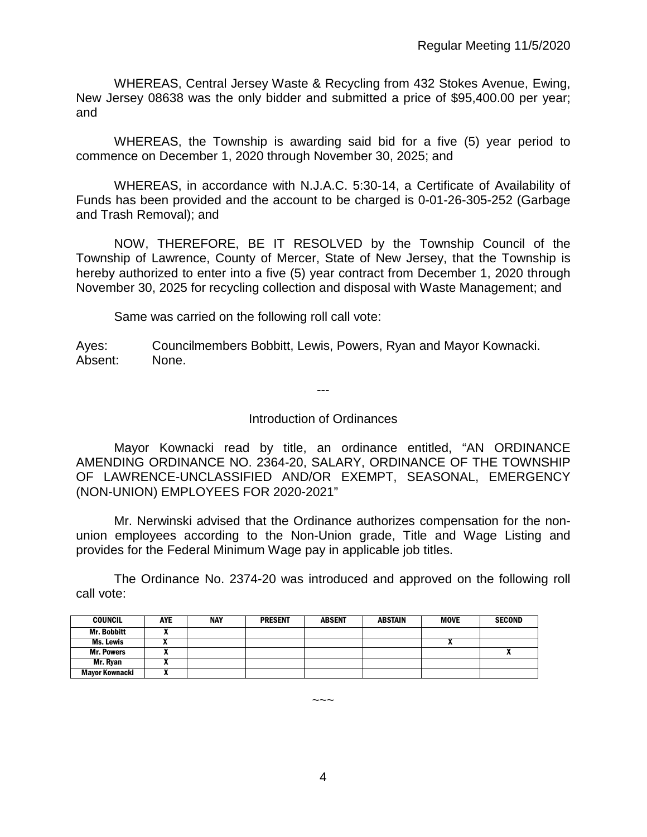WHEREAS, Central Jersey Waste & Recycling from 432 Stokes Avenue, Ewing, New Jersey 08638 was the only bidder and submitted a price of \$95,400.00 per year; and

WHEREAS, the Township is awarding said bid for a five (5) year period to commence on December 1, 2020 through November 30, 2025; and

WHEREAS, in accordance with N.J.A.C. 5:30-14, a Certificate of Availability of Funds has been provided and the account to be charged is 0-01-26-305-252 (Garbage and Trash Removal); and

NOW, THEREFORE, BE IT RESOLVED by the Township Council of the Township of Lawrence, County of Mercer, State of New Jersey, that the Township is hereby authorized to enter into a five (5) year contract from December 1, 2020 through November 30, 2025 for recycling collection and disposal with Waste Management; and

Same was carried on the following roll call vote:

Ayes: Councilmembers Bobbitt, Lewis, Powers, Ryan and Mayor Kownacki. Absent: None.

---

### Introduction of Ordinances

Mayor Kownacki read by title, an ordinance entitled, "AN ORDINANCE AMENDING ORDINANCE NO. 2364-20, SALARY, ORDINANCE OF THE TOWNSHIP OF LAWRENCE-UNCLASSIFIED AND/OR EXEMPT, SEASONAL, EMERGENCY (NON-UNION) EMPLOYEES FOR 2020-2021"

Mr. Nerwinski advised that the Ordinance authorizes compensation for the nonunion employees according to the Non-Union grade, Title and Wage Listing and provides for the Federal Minimum Wage pay in applicable job titles.

The Ordinance No. 2374-20 was introduced and approved on the following roll call vote:

| <b>COUNCIL</b>        | <b>AYE</b> | <b>NAY</b> | <b>PRESENT</b> | <b>ABSENT</b> | <b>ABSTAIN</b> | <b>MOVE</b> | <b>SECOND</b> |
|-----------------------|------------|------------|----------------|---------------|----------------|-------------|---------------|
| <b>Mr. Bobbitt</b>    |            |            |                |               |                |             |               |
| Ms. Lewis             |            |            |                |               |                |             |               |
| <b>Mr. Powers</b>     |            |            |                |               |                |             |               |
| Mr. Rvan              |            |            |                |               |                |             |               |
| <b>Mavor Kownacki</b> |            |            |                |               |                |             |               |

 $\sim\sim\sim$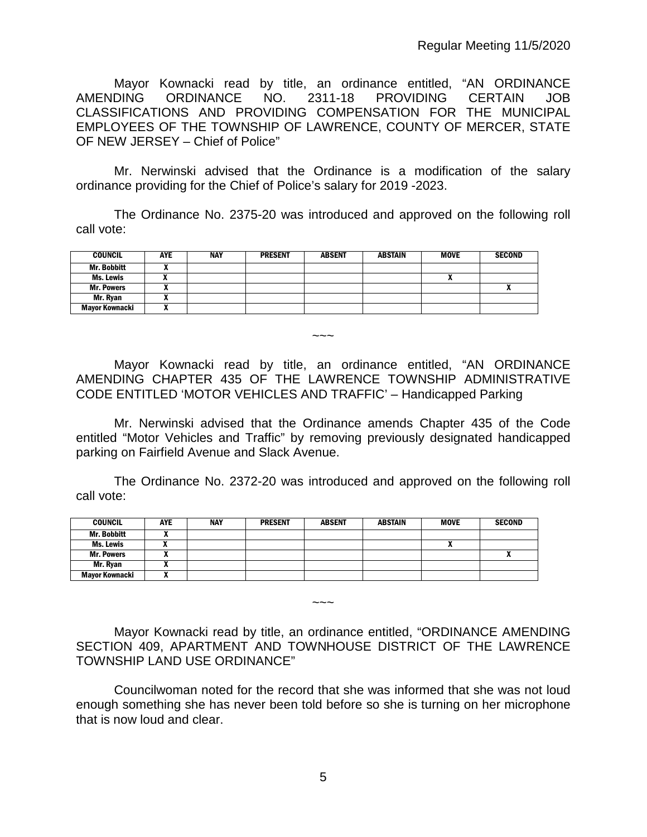Mayor Kownacki read by title, an ordinance entitled, "AN ORDINANCE AMENDING ORDINANCE NO. 2311-18 PROVIDING CERTAIN JOB CLASSIFICATIONS AND PROVIDING COMPENSATION FOR THE MUNICIPAL EMPLOYEES OF THE TOWNSHIP OF LAWRENCE, COUNTY OF MERCER, STATE OF NEW JERSEY – Chief of Police"

Mr. Nerwinski advised that the Ordinance is a modification of the salary ordinance providing for the Chief of Police's salary for 2019 -2023.

The Ordinance No. 2375-20 was introduced and approved on the following roll call vote:

| <b>COUNCIL</b>        | <b>AYE</b> | <b>NAY</b> | <b>PRESENT</b> | <b>ABSENT</b> | <b>ABSTAIN</b> | <b>MOVE</b> | <b>SECOND</b> |
|-----------------------|------------|------------|----------------|---------------|----------------|-------------|---------------|
| <b>Mr. Bobbitt</b>    |            |            |                |               |                |             |               |
| Ms. Lewis             |            |            |                |               |                |             |               |
| <b>Mr. Powers</b>     |            |            |                |               |                |             |               |
| Mr. Ryan              |            |            |                |               |                |             |               |
| <b>Mayor Kownacki</b> |            |            |                |               |                |             |               |

 $\sim\sim\sim$ 

Mayor Kownacki read by title, an ordinance entitled, "AN ORDINANCE AMENDING CHAPTER 435 OF THE LAWRENCE TOWNSHIP ADMINISTRATIVE CODE ENTITLED 'MOTOR VEHICLES AND TRAFFIC' – Handicapped Parking

Mr. Nerwinski advised that the Ordinance amends Chapter 435 of the Code entitled "Motor Vehicles and Traffic" by removing previously designated handicapped parking on Fairfield Avenue and Slack Avenue.

The Ordinance No. 2372-20 was introduced and approved on the following roll call vote:

| <b>COUNCIL</b>        | <b>AYE</b> | <b>NAY</b> | <b>PRESENT</b> | <b>ABSENT</b> | ABSTAIN | <b>MOVE</b> | <b>SECOND</b> |
|-----------------------|------------|------------|----------------|---------------|---------|-------------|---------------|
| <b>Mr. Bobbitt</b>    | ,,         |            |                |               |         |             |               |
| Ms. Lewis             |            |            |                |               |         | "           |               |
| <b>Mr. Powers</b>     |            |            |                |               |         |             |               |
| Mr. Ryan              |            |            |                |               |         |             |               |
| <b>Mayor Kownacki</b> |            |            |                |               |         |             |               |

Mayor Kownacki read by title, an ordinance entitled, "ORDINANCE AMENDING SECTION 409, APARTMENT AND TOWNHOUSE DISTRICT OF THE LAWRENCE TOWNSHIP LAND USE ORDINANCE"

 $\sim\sim\sim$ 

Councilwoman noted for the record that she was informed that she was not loud enough something she has never been told before so she is turning on her microphone that is now loud and clear.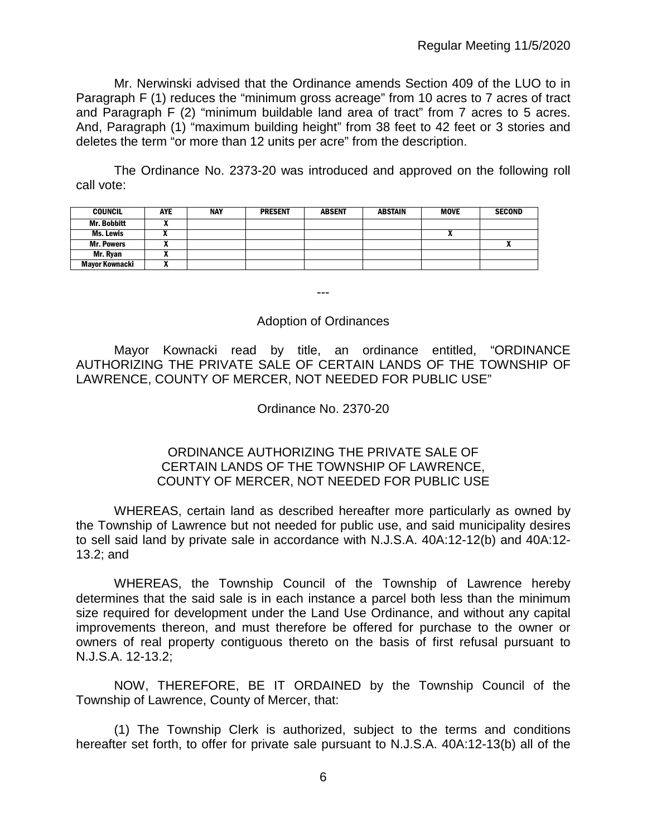Mr. Nerwinski advised that the Ordinance amends Section 409 of the LUO to in Paragraph F (1) reduces the "minimum gross acreage" from 10 acres to 7 acres of tract and Paragraph F (2) "minimum buildable land area of tract" from 7 acres to 5 acres. And, Paragraph (1) "maximum building height" from 38 feet to 42 feet or 3 stories and deletes the term "or more than 12 units per acre" from the description.

The Ordinance No. 2373-20 was introduced and approved on the following roll call vote:

| <b>COUNCIL</b>     | <b>AYE</b> | <b>NAY</b> | <b>PRESENT</b> | <b>ABSENT</b> | <b>ABSTAIN</b> | <b>MOVE</b> | <b>SECOND</b> |
|--------------------|------------|------------|----------------|---------------|----------------|-------------|---------------|
| <b>Mr. Bobbitt</b> |            |            |                |               |                |             |               |
| Ms. Lewis          |            |            |                |               |                |             |               |
| <b>Mr. Powers</b>  |            |            |                |               |                |             |               |
| Mr. Ryan           |            |            |                |               |                |             |               |
| Mayor Kownacki     | ,,,        |            |                |               |                |             |               |

---

### Adoption of Ordinances

Mayor Kownacki read by title, an ordinance entitled, "ORDINANCE AUTHORIZING THE PRIVATE SALE OF CERTAIN LANDS OF THE TOWNSHIP OF LAWRENCE, COUNTY OF MERCER, NOT NEEDED FOR PUBLIC USE"

## Ordinance No. 2370-20

### ORDINANCE AUTHORIZING THE PRIVATE SALE OF CERTAIN LANDS OF THE TOWNSHIP OF LAWRENCE, COUNTY OF MERCER, NOT NEEDED FOR PUBLIC USE

WHEREAS, certain land as described hereafter more particularly as owned by the Township of Lawrence but not needed for public use, and said municipality desires to sell said land by private sale in accordance with N.J.S.A. 40A:12-12(b) and 40A:12- 13.2; and

WHEREAS, the Township Council of the Township of Lawrence hereby determines that the said sale is in each instance a parcel both less than the minimum size required for development under the Land Use Ordinance, and without any capital improvements thereon, and must therefore be offered for purchase to the owner or owners of real property contiguous thereto on the basis of first refusal pursuant to N.J.S.A. 12-13.2;

NOW, THEREFORE, BE IT ORDAINED by the Township Council of the Township of Lawrence, County of Mercer, that:

(1) The Township Clerk is authorized, subject to the terms and conditions hereafter set forth, to offer for private sale pursuant to N.J.S.A. 40A:12-13(b) all of the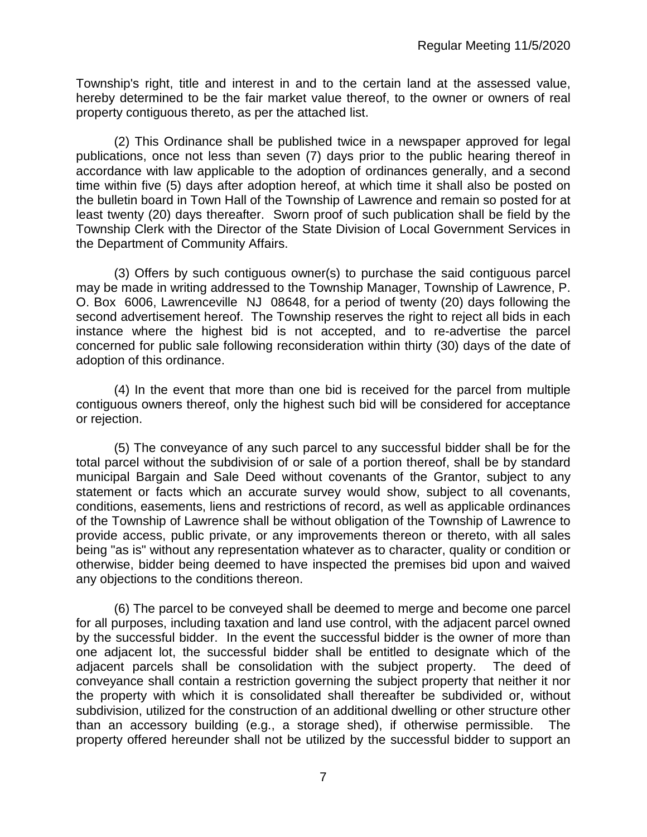Township's right, title and interest in and to the certain land at the assessed value, hereby determined to be the fair market value thereof, to the owner or owners of real property contiguous thereto, as per the attached list.

(2) This Ordinance shall be published twice in a newspaper approved for legal publications, once not less than seven (7) days prior to the public hearing thereof in accordance with law applicable to the adoption of ordinances generally, and a second time within five (5) days after adoption hereof, at which time it shall also be posted on the bulletin board in Town Hall of the Township of Lawrence and remain so posted for at least twenty (20) days thereafter. Sworn proof of such publication shall be field by the Township Clerk with the Director of the State Division of Local Government Services in the Department of Community Affairs.

(3) Offers by such contiguous owner(s) to purchase the said contiguous parcel may be made in writing addressed to the Township Manager, Township of Lawrence, P. O. Box 6006, Lawrenceville NJ 08648, for a period of twenty (20) days following the second advertisement hereof. The Township reserves the right to reject all bids in each instance where the highest bid is not accepted, and to re-advertise the parcel concerned for public sale following reconsideration within thirty (30) days of the date of adoption of this ordinance.

(4) In the event that more than one bid is received for the parcel from multiple contiguous owners thereof, only the highest such bid will be considered for acceptance or rejection.

(5) The conveyance of any such parcel to any successful bidder shall be for the total parcel without the subdivision of or sale of a portion thereof, shall be by standard municipal Bargain and Sale Deed without covenants of the Grantor, subject to any statement or facts which an accurate survey would show, subject to all covenants, conditions, easements, liens and restrictions of record, as well as applicable ordinances of the Township of Lawrence shall be without obligation of the Township of Lawrence to provide access, public private, or any improvements thereon or thereto, with all sales being "as is" without any representation whatever as to character, quality or condition or otherwise, bidder being deemed to have inspected the premises bid upon and waived any objections to the conditions thereon.

(6) The parcel to be conveyed shall be deemed to merge and become one parcel for all purposes, including taxation and land use control, with the adjacent parcel owned by the successful bidder. In the event the successful bidder is the owner of more than one adjacent lot, the successful bidder shall be entitled to designate which of the adjacent parcels shall be consolidation with the subject property. The deed of conveyance shall contain a restriction governing the subject property that neither it nor the property with which it is consolidated shall thereafter be subdivided or, without subdivision, utilized for the construction of an additional dwelling or other structure other than an accessory building (e.g., a storage shed), if otherwise permissible. The property offered hereunder shall not be utilized by the successful bidder to support an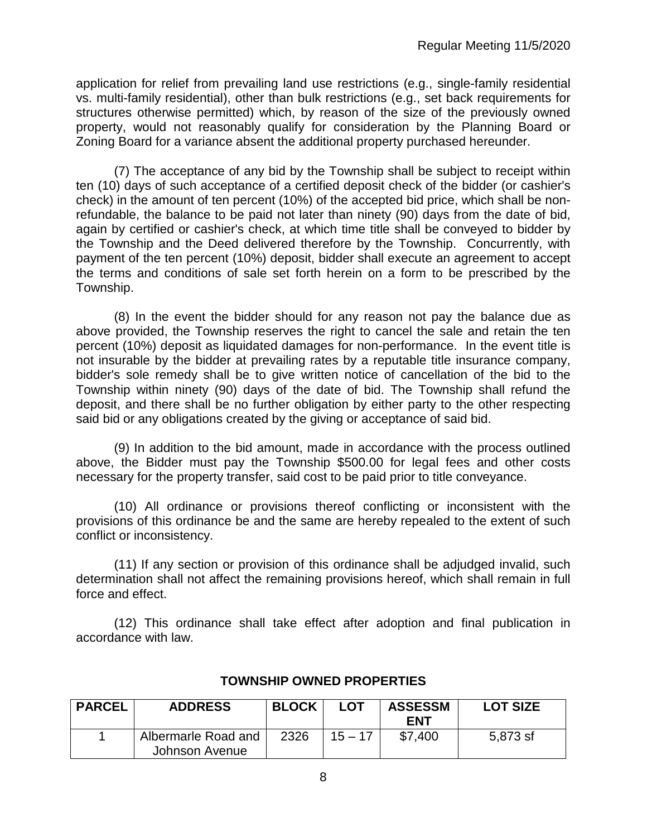application for relief from prevailing land use restrictions (e.g., single-family residential vs. multi-family residential), other than bulk restrictions (e.g., set back requirements for structures otherwise permitted) which, by reason of the size of the previously owned property, would not reasonably qualify for consideration by the Planning Board or Zoning Board for a variance absent the additional property purchased hereunder.

(7) The acceptance of any bid by the Township shall be subject to receipt within ten (10) days of such acceptance of a certified deposit check of the bidder (or cashier's check) in the amount of ten percent (10%) of the accepted bid price, which shall be nonrefundable, the balance to be paid not later than ninety (90) days from the date of bid, again by certified or cashier's check, at which time title shall be conveyed to bidder by the Township and the Deed delivered therefore by the Township. Concurrently, with payment of the ten percent (10%) deposit, bidder shall execute an agreement to accept the terms and conditions of sale set forth herein on a form to be prescribed by the Township.

(8) In the event the bidder should for any reason not pay the balance due as above provided, the Township reserves the right to cancel the sale and retain the ten percent (10%) deposit as liquidated damages for non-performance. In the event title is not insurable by the bidder at prevailing rates by a reputable title insurance company, bidder's sole remedy shall be to give written notice of cancellation of the bid to the Township within ninety (90) days of the date of bid. The Township shall refund the deposit, and there shall be no further obligation by either party to the other respecting said bid or any obligations created by the giving or acceptance of said bid.

(9) In addition to the bid amount, made in accordance with the process outlined above, the Bidder must pay the Township \$500.00 for legal fees and other costs necessary for the property transfer, said cost to be paid prior to title conveyance.

(10) All ordinance or provisions thereof conflicting or inconsistent with the provisions of this ordinance be and the same are hereby repealed to the extent of such conflict or inconsistency.

(11) If any section or provision of this ordinance shall be adjudged invalid, such determination shall not affect the remaining provisions hereof, which shall remain in full force and effect.

(12) This ordinance shall take effect after adoption and final publication in accordance with law.

| <b>PARCEL</b> | <b>ADDRESS</b>      | <b>BLOCK</b> | <b>LOT</b> | <b>ASSESSM</b><br><b>FNT</b> | <b>LOT SIZE</b> |
|---------------|---------------------|--------------|------------|------------------------------|-----------------|
|               | Albermarle Road and | 2326         | $15 - 17$  | \$7.400                      | 5,873 sf        |
|               | Johnson Avenue      |              |            |                              |                 |

## **TOWNSHIP OWNED PROPERTIES**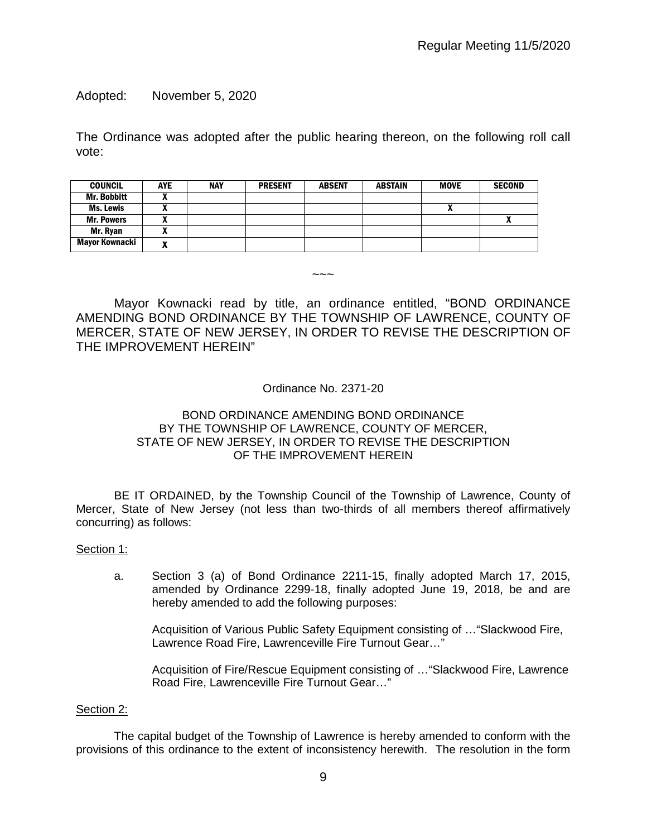Adopted: November 5, 2020

The Ordinance was adopted after the public hearing thereon, on the following roll call vote:

| <b>COUNCIL</b>     | <b>AYE</b> | <b>NAY</b> | <b>PRESENT</b> | <b>ABSENT</b> | <b>ABSTAIN</b> | <b>MOVE</b> | <b>SECOND</b> |
|--------------------|------------|------------|----------------|---------------|----------------|-------------|---------------|
| <b>Mr. Bobbitt</b> |            |            |                |               |                |             |               |
| <b>Ms. Lewis</b>   |            |            |                |               |                | n           |               |
| <b>Mr. Powers</b>  |            |            |                |               |                |             | $\mathbf{v}$  |
| Mr. Ryan           |            |            |                |               |                |             |               |
| Mayor Kownacki     |            |            |                |               |                |             |               |

Mayor Kownacki read by title, an ordinance entitled, "BOND ORDINANCE AMENDING BOND ORDINANCE BY THE TOWNSHIP OF LAWRENCE, COUNTY OF MERCER, STATE OF NEW JERSEY, IN ORDER TO REVISE THE DESCRIPTION OF THE IMPROVEMENT HEREIN"

 $\sim\sim\sim$ 

#### Ordinance No. 2371-20

#### BOND ORDINANCE AMENDING BOND ORDINANCE BY THE TOWNSHIP OF LAWRENCE, COUNTY OF MERCER, STATE OF NEW JERSEY, IN ORDER TO REVISE THE DESCRIPTION OF THE IMPROVEMENT HEREIN

BE IT ORDAINED, by the Township Council of the Township of Lawrence, County of Mercer, State of New Jersey (not less than two-thirds of all members thereof affirmatively concurring) as follows:

#### Section 1:

a. Section 3 (a) of Bond Ordinance 2211-15, finally adopted March 17, 2015, amended by Ordinance 2299-18, finally adopted June 19, 2018, be and are hereby amended to add the following purposes:

Acquisition of Various Public Safety Equipment consisting of …"Slackwood Fire, Lawrence Road Fire, Lawrenceville Fire Turnout Gear…"

Acquisition of Fire/Rescue Equipment consisting of …"Slackwood Fire, Lawrence Road Fire, Lawrenceville Fire Turnout Gear…"

#### Section 2:

The capital budget of the Township of Lawrence is hereby amended to conform with the provisions of this ordinance to the extent of inconsistency herewith. The resolution in the form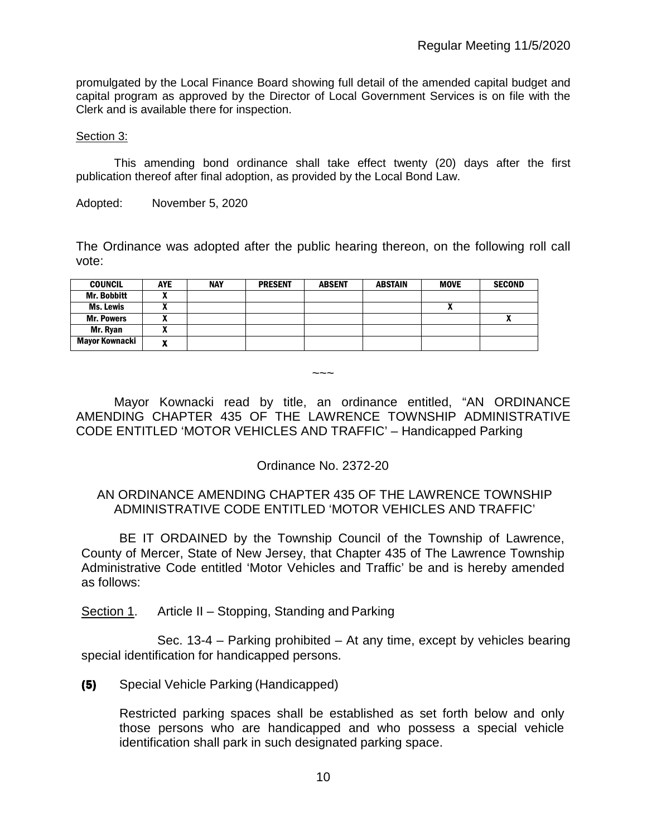promulgated by the Local Finance Board showing full detail of the amended capital budget and capital program as approved by the Director of Local Government Services is on file with the Clerk and is available there for inspection.

#### Section 3:

This amending bond ordinance shall take effect twenty (20) days after the first publication thereof after final adoption, as provided by the Local Bond Law.

Adopted: November 5, 2020

The Ordinance was adopted after the public hearing thereon, on the following roll call vote:

| <b>COUNCIL</b>     | <b>AYE</b>                 | <b>NAY</b> | <b>PRESENT</b> | <b>ABSENT</b> | <b>ABSTAIN</b> | <b>MOVE</b> | <b>SECOND</b> |
|--------------------|----------------------------|------------|----------------|---------------|----------------|-------------|---------------|
| <b>Mr. Bobbitt</b> | ~                          |            |                |               |                |             |               |
| Ms. Lewis          |                            |            |                |               |                | "           |               |
| <b>Mr. Powers</b>  | $\boldsymbol{\mathcal{L}}$ |            |                |               |                |             | Λ             |
| Mr. Ryan           |                            |            |                |               |                |             |               |
| Mayor Kownacki     | $\overline{\phantom{a}}$   |            |                |               |                |             |               |

 $\sim\sim\sim$ 

Mayor Kownacki read by title, an ordinance entitled, "AN ORDINANCE AMENDING CHAPTER 435 OF THE LAWRENCE TOWNSHIP ADMINISTRATIVE CODE ENTITLED 'MOTOR VEHICLES AND TRAFFIC' – Handicapped Parking

Ordinance No. 2372-20

### AN ORDINANCE AMENDING CHAPTER 435 OF THE LAWRENCE TOWNSHIP ADMINISTRATIVE CODE ENTITLED 'MOTOR VEHICLES AND TRAFFIC'

BE IT ORDAINED by the Township Council of the Township of Lawrence, County of Mercer, State of New Jersey, that Chapter 435 of The Lawrence Township Administrative Code entitled 'Motor Vehicles and Traffic' be and is hereby amended as follows:

Section 1. Article II – Stopping, Standing and Parking

Sec. 13-4 – Parking prohibited – At any time, except by vehicles bearing special identification for handicapped persons.

### (5) Special Vehicle Parking (Handicapped)

Restricted parking spaces shall be established as set forth below and only those persons who are handicapped and who possess a special vehicle identification shall park in such designated parking space.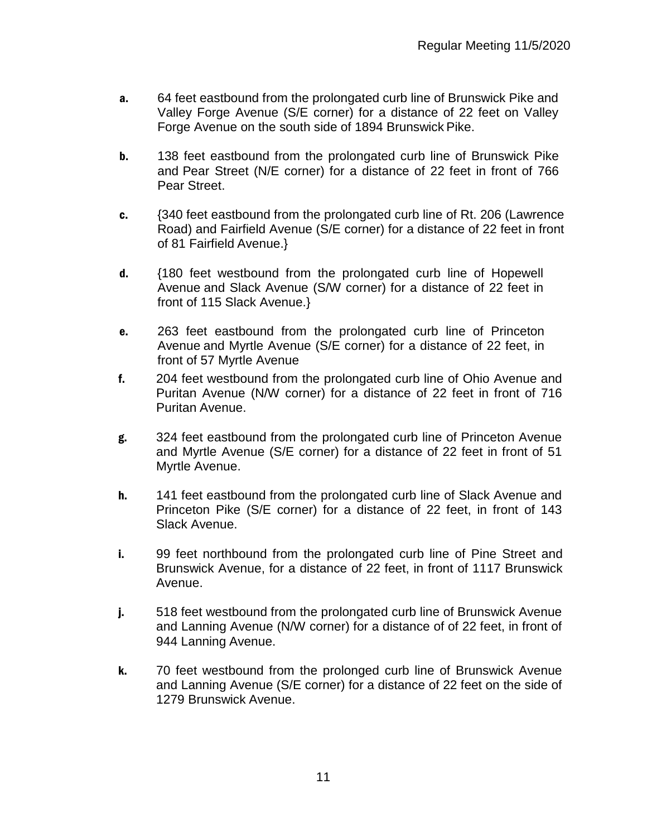- a. 64 feet eastbound from the prolongated curb line of Brunswick Pike and Valley Forge Avenue (S/E corner) for a distance of 22 feet on Valley Forge Avenue on the south side of 1894 Brunswick Pike.
- **b.** 138 feet eastbound from the prolongated curb line of Brunswick Pike and Pear Street (N/E corner) for a distance of 22 feet in front of 766 Pear Street.
- c. {340 feet eastbound from the prolongated curb line of Rt. 206 (Lawrence Road) and Fairfield Avenue (S/E corner) for a distance of 22 feet in front of 81 Fairfield Avenue.}
- d. {180 feet westbound from the prolongated curb line of Hopewell Avenue and Slack Avenue (S/W corner) for a distance of 22 feet in front of 115 Slack Avenue.}
- e. 263 feet eastbound from the prolongated curb line of Princeton Avenue and Myrtle Avenue (S/E corner) for a distance of 22 feet, in front of 57 Myrtle Avenue
- f. 204 feet westbound from the prolongated curb line of Ohio Avenue and Puritan Avenue (N/W corner) for a distance of 22 feet in front of 716 Puritan Avenue.
- g. 324 feet eastbound from the prolongated curb line of Princeton Avenue and Myrtle Avenue (S/E corner) for a distance of 22 feet in front of 51 Myrtle Avenue.
- h. 141 feet eastbound from the prolongated curb line of Slack Avenue and Princeton Pike (S/E corner) for a distance of 22 feet, in front of 143 Slack Avenue.
- i. 99 feet northbound from the prolongated curb line of Pine Street and Brunswick Avenue, for a distance of 22 feet, in front of 1117 Brunswick Avenue.
- j. 518 feet westbound from the prolongated curb line of Brunswick Avenue and Lanning Avenue (N/W corner) for a distance of of 22 feet, in front of 944 Lanning Avenue.
- k. 70 feet westbound from the prolonged curb line of Brunswick Avenue and Lanning Avenue (S/E corner) for a distance of 22 feet on the side of 1279 Brunswick Avenue.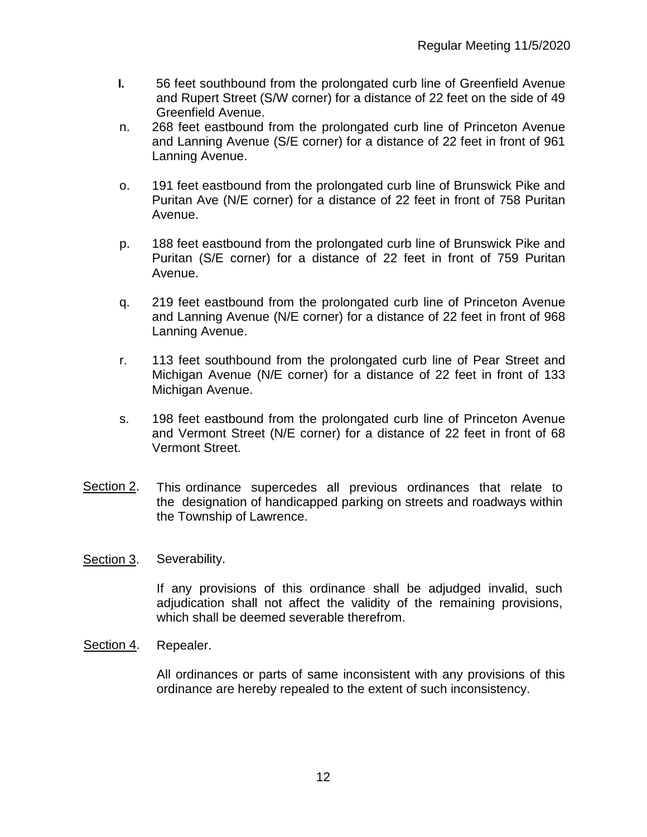- l. 56 feet southbound from the prolongated curb line of Greenfield Avenue and Rupert Street (S/W corner) for a distance of 22 feet on the side of 49 Greenfield Avenue.
- n. 268 feet eastbound from the prolongated curb line of Princeton Avenue and Lanning Avenue (S/E corner) for a distance of 22 feet in front of 961 Lanning Avenue.
- o. 191 feet eastbound from the prolongated curb line of Brunswick Pike and Puritan Ave (N/E corner) for a distance of 22 feet in front of 758 Puritan Avenue.
- p. 188 feet eastbound from the prolongated curb line of Brunswick Pike and Puritan (S/E corner) for a distance of 22 feet in front of 759 Puritan Avenue.
- q. 219 feet eastbound from the prolongated curb line of Princeton Avenue and Lanning Avenue (N/E corner) for a distance of 22 feet in front of 968 Lanning Avenue.
- r. 113 feet southbound from the prolongated curb line of Pear Street and Michigan Avenue (N/E corner) for a distance of 22 feet in front of 133 Michigan Avenue.
- s. 198 feet eastbound from the prolongated curb line of Princeton Avenue and Vermont Street (N/E corner) for a distance of 22 feet in front of 68 Vermont Street.
- Section 2. This ordinance supercedes all previous ordinances that relate to the designation of handicapped parking on streets and roadways within the Township of Lawrence.
- Section 3. Severability.

If any provisions of this ordinance shall be adjudged invalid, such adjudication shall not affect the validity of the remaining provisions, which shall be deemed severable therefrom.

Section 4. Repealer.

All ordinances or parts of same inconsistent with any provisions of this ordinance are hereby repealed to the extent of such inconsistency.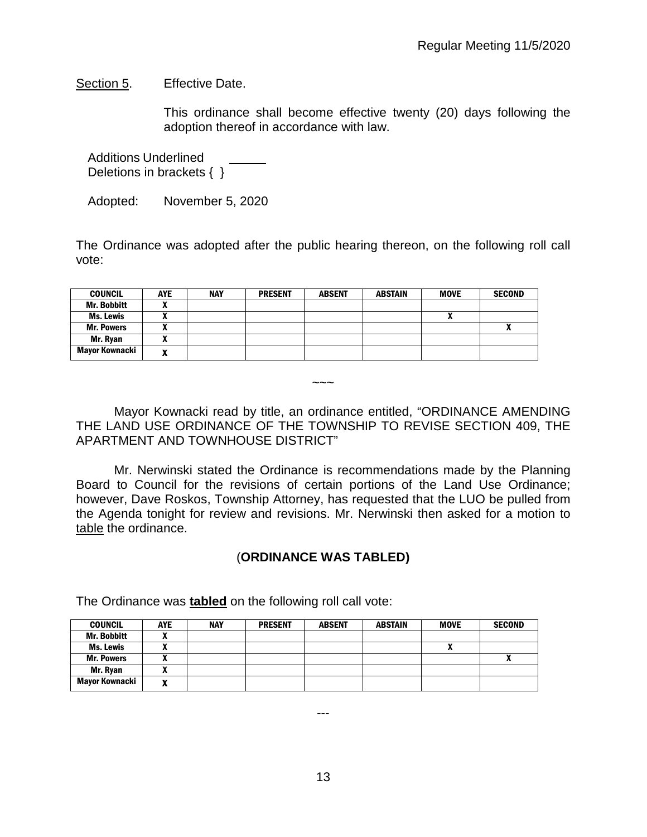Section 5. Effective Date.

This ordinance shall become effective twenty (20) days following the adoption thereof in accordance with law.

Additions Underlined Deletions in brackets { }

Adopted: November 5, 2020

The Ordinance was adopted after the public hearing thereon, on the following roll call vote:

| <b>COUNCIL</b>        | <b>AYE</b>                    | <b>NAY</b> | <b>PRESENT</b> | <b>ABSENT</b> | <b>ABSTAIN</b> | <b>MOVE</b> | <b>SECOND</b> |
|-----------------------|-------------------------------|------------|----------------|---------------|----------------|-------------|---------------|
| <b>Mr. Bobbitt</b>    | -<br>~                        |            |                |               |                |             |               |
| Ms. Lewis             | ~                             |            |                |               |                | n           |               |
| <b>Mr. Powers</b>     | <br>^                         |            |                |               |                |             | Λ             |
| Mr. Ryan              | $\mathbf{r}$                  |            |                |               |                |             |               |
| <b>Mayor Kownacki</b> | $\overline{\phantom{a}}$<br>Λ |            |                |               |                |             |               |

Mayor Kownacki read by title, an ordinance entitled, "ORDINANCE AMENDING THE LAND USE ORDINANCE OF THE TOWNSHIP TO REVISE SECTION 409, THE APARTMENT AND TOWNHOUSE DISTRICT"

 $\sim\sim\sim$ 

Mr. Nerwinski stated the Ordinance is recommendations made by the Planning Board to Council for the revisions of certain portions of the Land Use Ordinance; however, Dave Roskos, Township Attorney, has requested that the LUO be pulled from the Agenda tonight for review and revisions. Mr. Nerwinski then asked for a motion to table the ordinance.

## (**ORDINANCE WAS TABLED)**

The Ordinance was **tabled** on the following roll call vote:

| <b>COUNCIL</b>     | <b>AYE</b> | <b>NAY</b> | <b>PRESENT</b> | <b>ABSENT</b> | <b>ABSTAIN</b> | <b>MOVE</b> | <b>SECOND</b> |
|--------------------|------------|------------|----------------|---------------|----------------|-------------|---------------|
| <b>Mr. Bobbitt</b> |            |            |                |               |                |             |               |
| Ms. Lewis          |            |            |                |               |                |             |               |
| <b>Mr. Powers</b>  |            |            |                |               |                |             | "             |
| Mr. Ryan           |            |            |                |               |                |             |               |
| Mayor Kownacki     |            |            |                |               |                |             |               |

13

---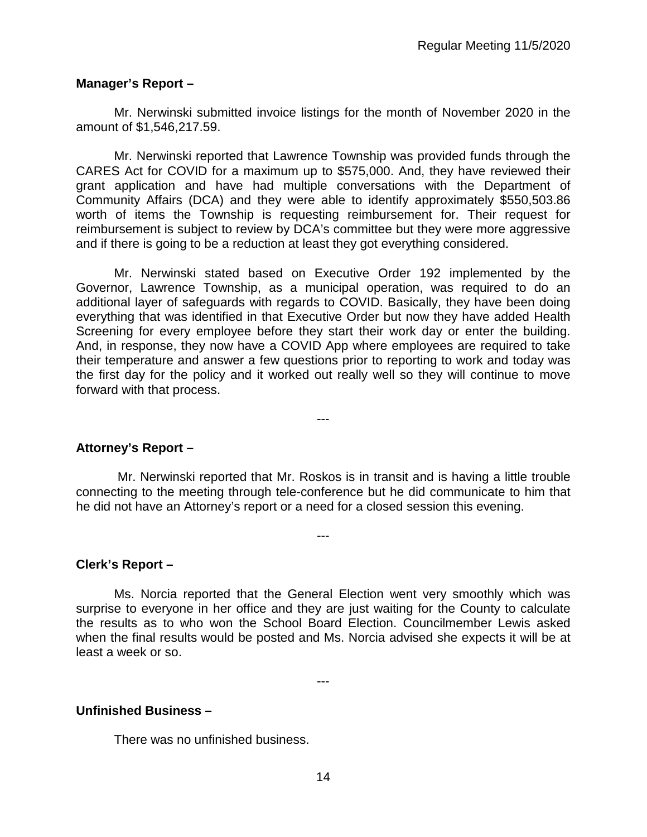### **Manager's Report –**

Mr. Nerwinski submitted invoice listings for the month of November 2020 in the amount of \$1,546,217.59.

Mr. Nerwinski reported that Lawrence Township was provided funds through the CARES Act for COVID for a maximum up to \$575,000. And, they have reviewed their grant application and have had multiple conversations with the Department of Community Affairs (DCA) and they were able to identify approximately \$550,503.86 worth of items the Township is requesting reimbursement for. Their request for reimbursement is subject to review by DCA's committee but they were more aggressive and if there is going to be a reduction at least they got everything considered.

Mr. Nerwinski stated based on Executive Order 192 implemented by the Governor, Lawrence Township, as a municipal operation, was required to do an additional layer of safeguards with regards to COVID. Basically, they have been doing everything that was identified in that Executive Order but now they have added Health Screening for every employee before they start their work day or enter the building. And, in response, they now have a COVID App where employees are required to take their temperature and answer a few questions prior to reporting to work and today was the first day for the policy and it worked out really well so they will continue to move forward with that process.

**Attorney's Report –**

Mr. Nerwinski reported that Mr. Roskos is in transit and is having a little trouble connecting to the meeting through tele-conference but he did communicate to him that he did not have an Attorney's report or a need for a closed session this evening.

---

---

### **Clerk's Report –**

Ms. Norcia reported that the General Election went very smoothly which was surprise to everyone in her office and they are just waiting for the County to calculate the results as to who won the School Board Election. Councilmember Lewis asked when the final results would be posted and Ms. Norcia advised she expects it will be at least a week or so.

---

### **Unfinished Business –**

There was no unfinished business.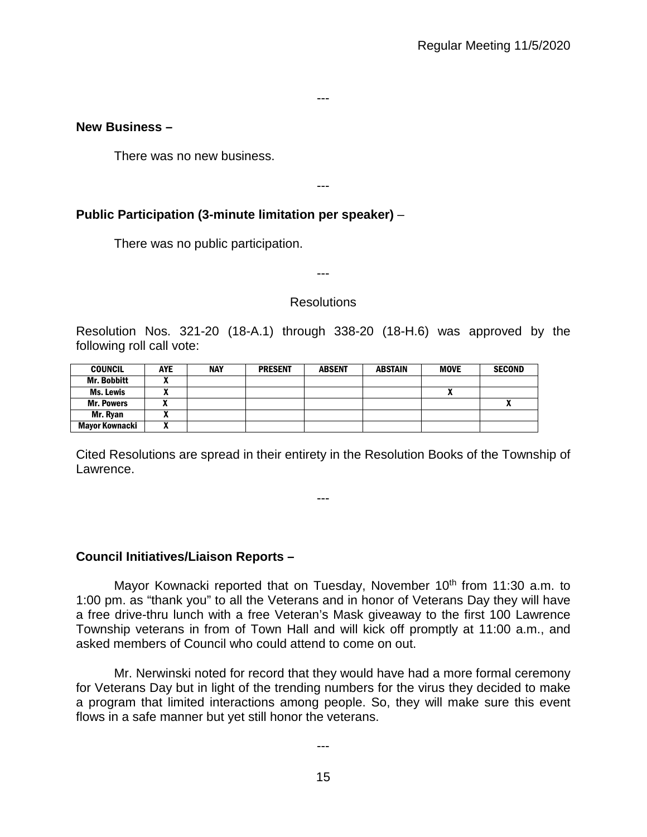---

### **New Business –**

There was no new business.

---

## **Public Participation (3-minute limitation per speaker)** –

There was no public participation.

---

### **Resolutions**

Resolution Nos. 321-20 (18-A.1) through 338-20 (18-H.6) was approved by the following roll call vote:

| <b>COUNCIL</b>        | <b>AYE</b>                 | <b>NAY</b> | <b>PRESENT</b> | <b>ABSENT</b> | <b>ABSTAIN</b> | <b>MOVE</b> | <b>SECOND</b> |
|-----------------------|----------------------------|------------|----------------|---------------|----------------|-------------|---------------|
| <b>Mr. Bobbitt</b>    |                            |            |                |               |                |             |               |
| <b>Ms. Lewis</b>      |                            |            |                |               |                | ^           |               |
| <b>Mr. Powers</b>     | $\mathbf{v}$               |            |                |               |                |             |               |
| Mr. Ryan              |                            |            |                |               |                |             |               |
| <b>Mayor Kownacki</b> | $\boldsymbol{\mathcal{L}}$ |            |                |               |                |             |               |

Cited Resolutions are spread in their entirety in the Resolution Books of the Township of Lawrence.

---

### **Council Initiatives/Liaison Reports –**

Mayor Kownacki reported that on Tuesday, November 10<sup>th</sup> from 11:30 a.m. to 1:00 pm. as "thank you" to all the Veterans and in honor of Veterans Day they will have a free drive-thru lunch with a free Veteran's Mask giveaway to the first 100 Lawrence Township veterans in from of Town Hall and will kick off promptly at 11:00 a.m., and asked members of Council who could attend to come on out.

Mr. Nerwinski noted for record that they would have had a more formal ceremony for Veterans Day but in light of the trending numbers for the virus they decided to make a program that limited interactions among people. So, they will make sure this event flows in a safe manner but yet still honor the veterans.